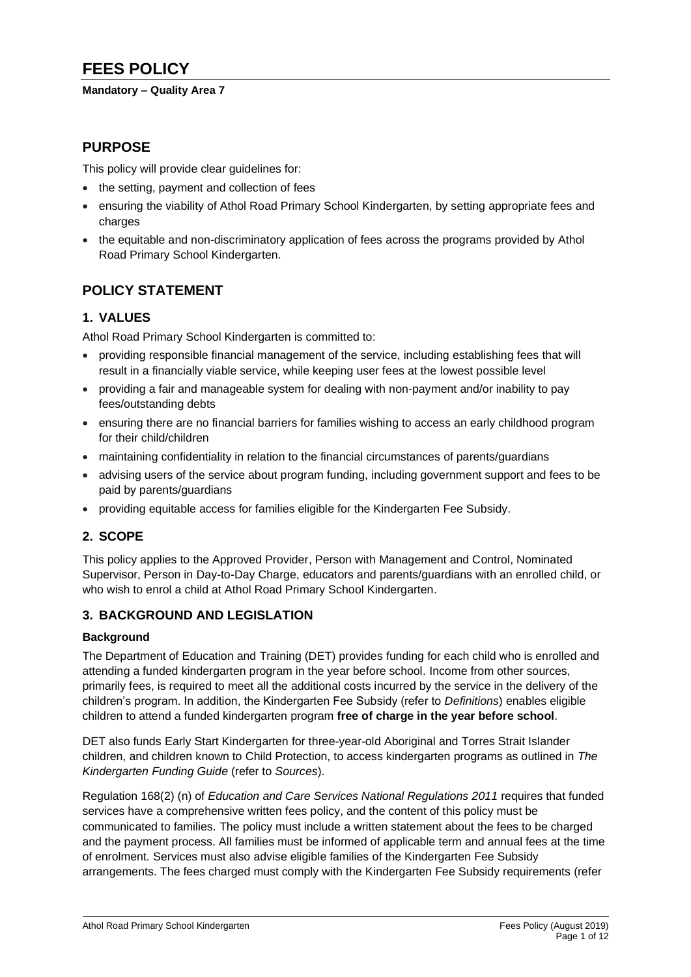# **FEES POLICY**

#### **Mandatory – Quality Area 7**

# **PURPOSE**

This policy will provide clear guidelines for:

- the setting, payment and collection of fees
- ensuring the viability of Athol Road Primary School Kindergarten, by setting appropriate fees and charges
- the equitable and non-discriminatory application of fees across the programs provided by Athol Road Primary School Kindergarten.

# **POLICY STATEMENT**

# **1. VALUES**

Athol Road Primary School Kindergarten is committed to:

- providing responsible financial management of the service, including establishing fees that will result in a financially viable service, while keeping user fees at the lowest possible level
- providing a fair and manageable system for dealing with non-payment and/or inability to pay fees/outstanding debts
- ensuring there are no financial barriers for families wishing to access an early childhood program for their child/children
- maintaining confidentiality in relation to the financial circumstances of parents/guardians
- advising users of the service about program funding, including government support and fees to be paid by parents/guardians
- providing equitable access for families eligible for the Kindergarten Fee Subsidy.

# **2. SCOPE**

This policy applies to the Approved Provider, Person with Management and Control, Nominated Supervisor, Person in Day-to-Day Charge, educators and parents/guardians with an enrolled child, or who wish to enrol a child at Athol Road Primary School Kindergarten.

## **3. BACKGROUND AND LEGISLATION**

#### **Background**

The Department of Education and Training (DET) provides funding for each child who is enrolled and attending a funded kindergarten program in the year before school. Income from other sources, primarily fees, is required to meet all the additional costs incurred by the service in the delivery of the children's program. In addition, the Kindergarten Fee Subsidy (refer to *Definitions*) enables eligible children to attend a funded kindergarten program **free of charge in the year before school**.

DET also funds Early Start Kindergarten for three-year-old Aboriginal and Torres Strait Islander children, and children known to Child Protection, to access kindergarten programs as outlined in *The Kindergarten Funding Guide* (refer to *Sources*).

Regulation 168(2) (n) of *Education and Care Services National Regulations 2011* requires that funded services have a comprehensive written fees policy, and the content of this policy must be communicated to families. The policy must include a written statement about the fees to be charged and the payment process. All families must be informed of applicable term and annual fees at the time of enrolment. Services must also advise eligible families of the Kindergarten Fee Subsidy arrangements. The fees charged must comply with the Kindergarten Fee Subsidy requirements (refer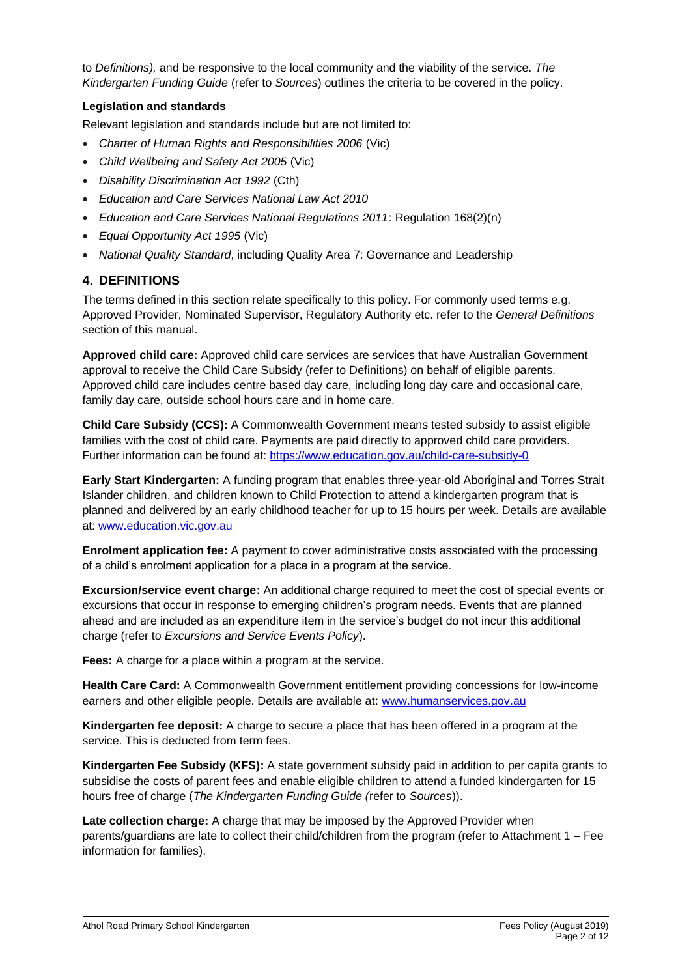to *Definitions),* and be responsive to the local community and the viability of the service. *The Kindergarten Funding Guide* (refer to *Sources*) outlines the criteria to be covered in the policy.

#### **Legislation and standards**

Relevant legislation and standards include but are not limited to:

- *Charter of Human Rights and Responsibilities 2006* (Vic)
- *Child Wellbeing and Safety Act 2005* (Vic)
- *Disability Discrimination Act 1992* (Cth)
- *Education and Care Services National Law Act 2010*
- *Education and Care Services National Regulations 2011*: Regulation 168(2)(n)
- *Equal Opportunity Act 1995* (Vic)
- *National Quality Standard*, including Quality Area 7: Governance and Leadership

# **4. DEFINITIONS**

The terms defined in this section relate specifically to this policy. For commonly used terms e.g. Approved Provider, Nominated Supervisor, Regulatory Authority etc. refer to the *General Definitions* section of this manual.

**Approved child care:** Approved child care services are services that have Australian Government approval to receive the Child Care Subsidy (refer to Definitions) on behalf of eligible parents. Approved child care includes centre based day care, including long day care and occasional care, family day care, outside school hours care and in home care.

**Child Care Subsidy (CCS):** A Commonwealth Government means tested subsidy to assist eligible families with the cost of child care. Payments are paid directly to approved child care providers. Further information can be found at:<https://www.education.gov.au/child-care-subsidy-0>

**Early Start Kindergarten:** A funding program that enables three-year-old Aboriginal and Torres Strait Islander children, and children known to Child Protection to attend a kindergarten program that is planned and delivered by an early childhood teacher for up to 15 hours per week. Details are available at: [www.education.vic.gov.au](http://www.education.vic.gov.au/)

**Enrolment application fee:** A payment to cover administrative costs associated with the processing of a child's enrolment application for a place in a program at the service.

**Excursion/service event charge:** An additional charge required to meet the cost of special events or excursions that occur in response to emerging children's program needs. Events that are planned ahead and are included as an expenditure item in the service's budget do not incur this additional charge (refer to *Excursions and Service Events Policy*).

**Fees:** A charge for a place within a program at the service.

**Health Care Card:** A Commonwealth Government entitlement providing concessions for low-income earners and other eligible people. Details are available at: [www.humanservices.gov.au](https://www.humanservices.gov.au/)

**Kindergarten fee deposit:** A charge to secure a place that has been offered in a program at the service. This is deducted from term fees.

**Kindergarten Fee Subsidy (KFS):** A state government subsidy paid in addition to per capita grants to subsidise the costs of parent fees and enable eligible children to attend a funded kindergarten for 15 hours free of charge (*The Kindergarten Funding Guide (*refer to *Sources*)).

Late collection charge: A charge that may be imposed by the Approved Provider when parents/guardians are late to collect their child/children from the program (refer to Attachment 1 – Fee information for families).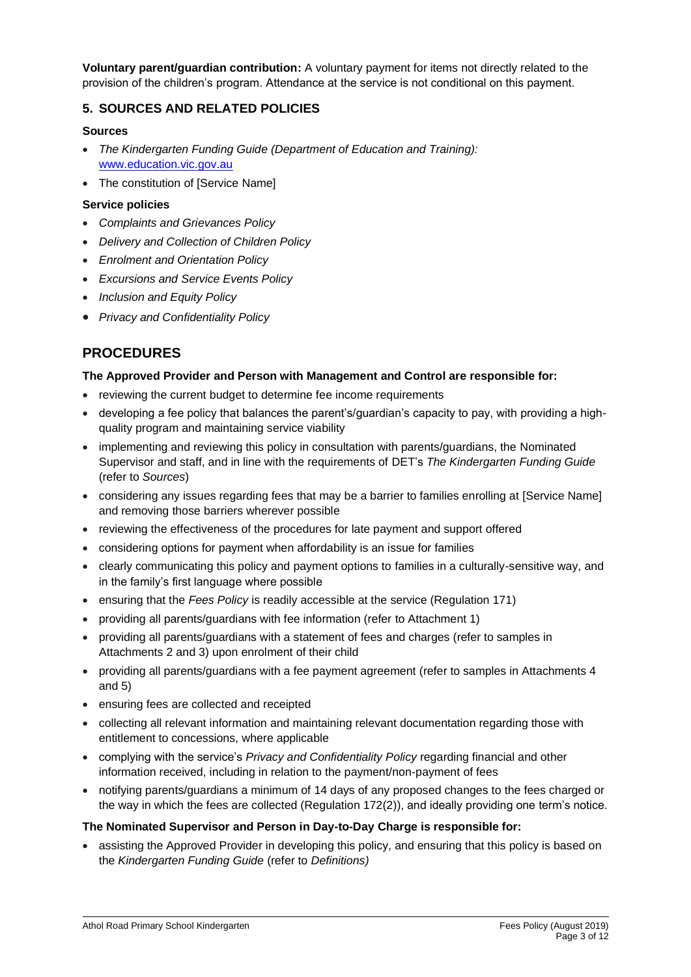**Voluntary parent/guardian contribution:** A voluntary payment for items not directly related to the provision of the children's program. Attendance at the service is not conditional on this payment.

# **5. SOURCES AND RELATED POLICIES**

## **Sources**

- *The Kindergarten Funding Guide (Department of Education and Training):* [www.education.vic.gov.au](http://www.education.vic.gov.au/)
- The constitution of [Service Name]

#### **Service policies**

- *Complaints and Grievances Policy*
- *Delivery and Collection of Children Policy*
- *Enrolment and Orientation Policy*
- *Excursions and Service Events Policy*
- *Inclusion and Equity Policy*
- *Privacy and Confidentiality Policy*

# **PROCEDURES**

## **The Approved Provider and Person with Management and Control are responsible for:**

- reviewing the current budget to determine fee income requirements
- developing a fee policy that balances the parent's/guardian's capacity to pay, with providing a highquality program and maintaining service viability
- implementing and reviewing this policy in consultation with parents/guardians, the Nominated Supervisor and staff, and in line with the requirements of DET's *The Kindergarten Funding Guide*  (refer to *Sources*)
- considering any issues regarding fees that may be a barrier to families enrolling at [Service Name] and removing those barriers wherever possible
- reviewing the effectiveness of the procedures for late payment and support offered
- considering options for payment when affordability is an issue for families
- clearly communicating this policy and payment options to families in a culturally-sensitive way, and in the family's first language where possible
- ensuring that the *Fees Policy* is readily accessible at the service (Regulation 171)
- providing all parents/guardians with fee information (refer to Attachment 1)
- providing all parents/guardians with a statement of fees and charges (refer to samples in Attachments 2 and 3) upon enrolment of their child
- providing all parents/guardians with a fee payment agreement (refer to samples in Attachments 4 and 5)
- ensuring fees are collected and receipted
- collecting all relevant information and maintaining relevant documentation regarding those with entitlement to concessions, where applicable
- complying with the service's *Privacy and Confidentiality Policy* regarding financial and other information received, including in relation to the payment/non-payment of fees
- notifying parents/guardians a minimum of 14 days of any proposed changes to the fees charged or the way in which the fees are collected (Regulation 172(2)), and ideally providing one term's notice.

## **The Nominated Supervisor and Person in Day-to-Day Charge is responsible for:**

• assisting the Approved Provider in developing this policy, and ensuring that this policy is based on the *Kindergarten Funding Guide* (refer to *Definitions)*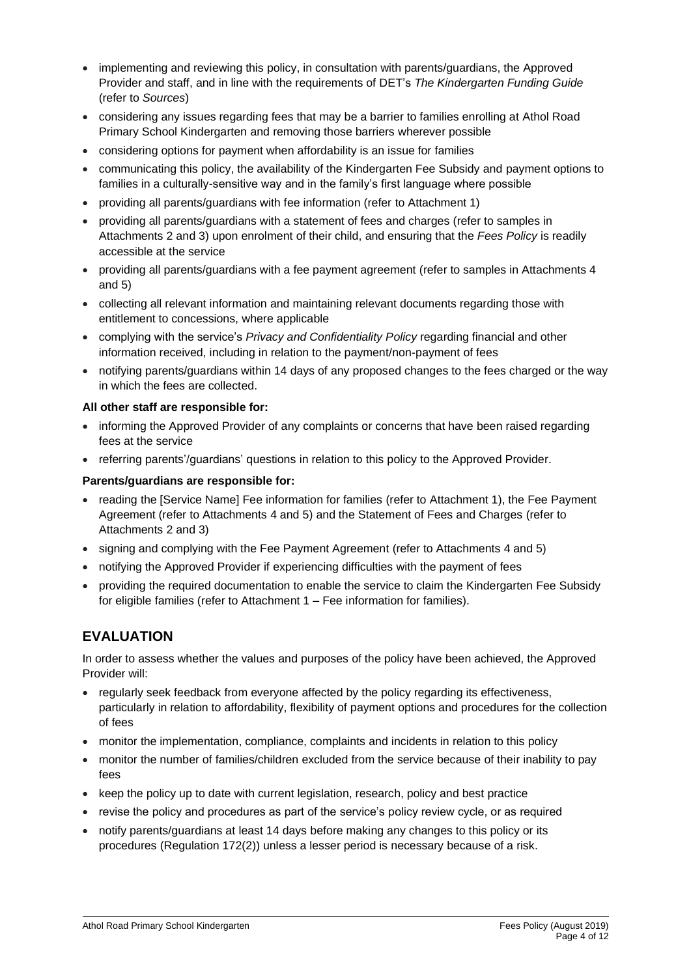- implementing and reviewing this policy, in consultation with parents/guardians, the Approved Provider and staff, and in line with the requirements of DET's *The Kindergarten Funding Guide* (refer to *Sources*)
- considering any issues regarding fees that may be a barrier to families enrolling at Athol Road Primary School Kindergarten and removing those barriers wherever possible
- considering options for payment when affordability is an issue for families
- communicating this policy, the availability of the Kindergarten Fee Subsidy and payment options to families in a culturally-sensitive way and in the family's first language where possible
- providing all parents/guardians with fee information (refer to Attachment 1)
- providing all parents/guardians with a statement of fees and charges (refer to samples in Attachments 2 and 3) upon enrolment of their child, and ensuring that the *Fees Policy* is readily accessible at the service
- providing all parents/guardians with a fee payment agreement (refer to samples in Attachments 4 and 5)
- collecting all relevant information and maintaining relevant documents regarding those with entitlement to concessions, where applicable
- complying with the service's *Privacy and Confidentiality Policy* regarding financial and other information received, including in relation to the payment/non-payment of fees
- notifying parents/guardians within 14 days of any proposed changes to the fees charged or the way in which the fees are collected.

#### **All other staff are responsible for:**

- informing the Approved Provider of any complaints or concerns that have been raised regarding fees at the service
- referring parents'/guardians' questions in relation to this policy to the Approved Provider.

#### **Parents/guardians are responsible for:**

- reading the [Service Name] Fee information for families (refer to Attachment 1), the Fee Payment Agreement (refer to Attachments 4 and 5) and the Statement of Fees and Charges (refer to Attachments 2 and 3)
- signing and complying with the Fee Payment Agreement (refer to Attachments 4 and 5)
- notifying the Approved Provider if experiencing difficulties with the payment of fees
- providing the required documentation to enable the service to claim the Kindergarten Fee Subsidy for eligible families (refer to Attachment 1 – Fee information for families).

# **EVALUATION**

In order to assess whether the values and purposes of the policy have been achieved, the Approved Provider will:

- regularly seek feedback from everyone affected by the policy regarding its effectiveness, particularly in relation to affordability, flexibility of payment options and procedures for the collection of fees
- monitor the implementation, compliance, complaints and incidents in relation to this policy
- monitor the number of families/children excluded from the service because of their inability to pay fees
- keep the policy up to date with current legislation, research, policy and best practice
- revise the policy and procedures as part of the service's policy review cycle, or as required
- notify parents/guardians at least 14 days before making any changes to this policy or its procedures (Regulation 172(2)) unless a lesser period is necessary because of a risk.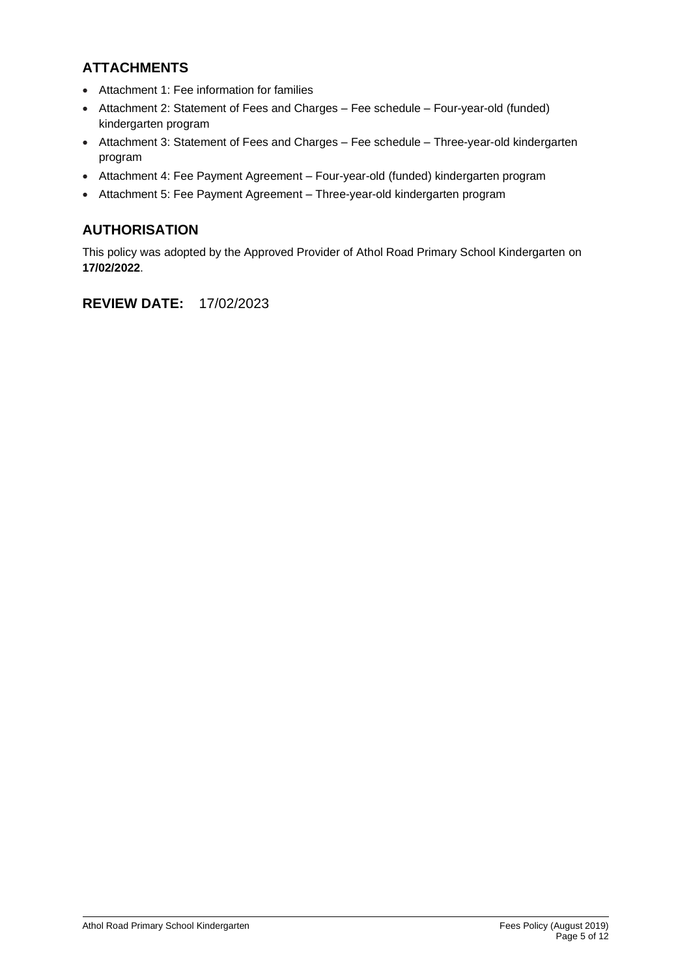# **ATTACHMENTS**

- Attachment 1: Fee information for families
- Attachment 2: Statement of Fees and Charges Fee schedule Four-year-old (funded) kindergarten program
- Attachment 3: Statement of Fees and Charges Fee schedule Three-year-old kindergarten program
- Attachment 4: Fee Payment Agreement Four-year-old (funded) kindergarten program
- Attachment 5: Fee Payment Agreement Three-year-old kindergarten program

# **AUTHORISATION**

This policy was adopted by the Approved Provider of Athol Road Primary School Kindergarten on **17/02/2022**.

# **REVIEW DATE:** 17/02/2023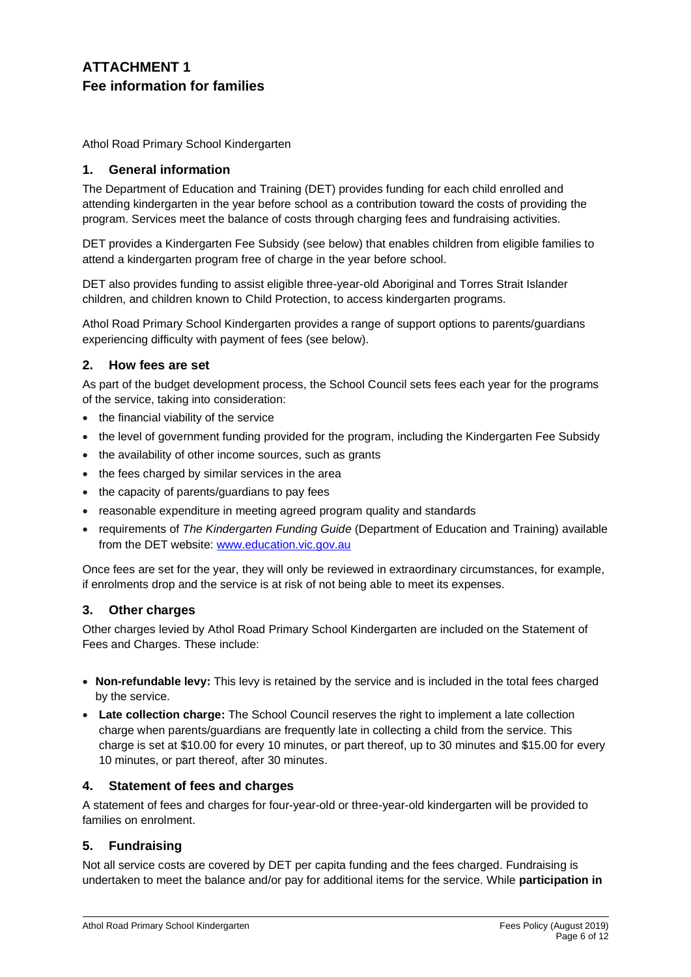# **ATTACHMENT 1 Fee information for families**

Athol Road Primary School Kindergarten

## **1. General information**

The Department of Education and Training (DET) provides funding for each child enrolled and attending kindergarten in the year before school as a contribution toward the costs of providing the program. Services meet the balance of costs through charging fees and fundraising activities.

DET provides a Kindergarten Fee Subsidy (see below) that enables children from eligible families to attend a kindergarten program free of charge in the year before school.

DET also provides funding to assist eligible three-year-old Aboriginal and Torres Strait Islander children, and children known to Child Protection, to access kindergarten programs.

Athol Road Primary School Kindergarten provides a range of support options to parents/guardians experiencing difficulty with payment of fees (see below).

## **2. How fees are set**

As part of the budget development process, the School Council sets fees each year for the programs of the service, taking into consideration:

- the financial viability of the service
- the level of government funding provided for the program, including the Kindergarten Fee Subsidy
- the availability of other income sources, such as grants
- the fees charged by similar services in the area
- the capacity of parents/guardians to pay fees
- reasonable expenditure in meeting agreed program quality and standards
- requirements of *The Kindergarten Funding Guide* (Department of Education and Training) available from the DET website: [www.education.vic.gov.au](http://www.education.vic.gov.au/)

Once fees are set for the year, they will only be reviewed in extraordinary circumstances, for example, if enrolments drop and the service is at risk of not being able to meet its expenses.

## **3. Other charges**

Other charges levied by Athol Road Primary School Kindergarten are included on the Statement of Fees and Charges. These include:

- **Non-refundable levy:** This levy is retained by the service and is included in the total fees charged by the service.
- **Late collection charge:** The School Council reserves the right to implement a late collection charge when parents/guardians are frequently late in collecting a child from the service. This charge is set at \$10.00 for every 10 minutes, or part thereof, up to 30 minutes and \$15.00 for every 10 minutes, or part thereof, after 30 minutes.

## **4. Statement of fees and charges**

A statement of fees and charges for four-year-old or three-year-old kindergarten will be provided to families on enrolment.

## **5. Fundraising**

Not all service costs are covered by DET per capita funding and the fees charged. Fundraising is undertaken to meet the balance and/or pay for additional items for the service. While **participation in**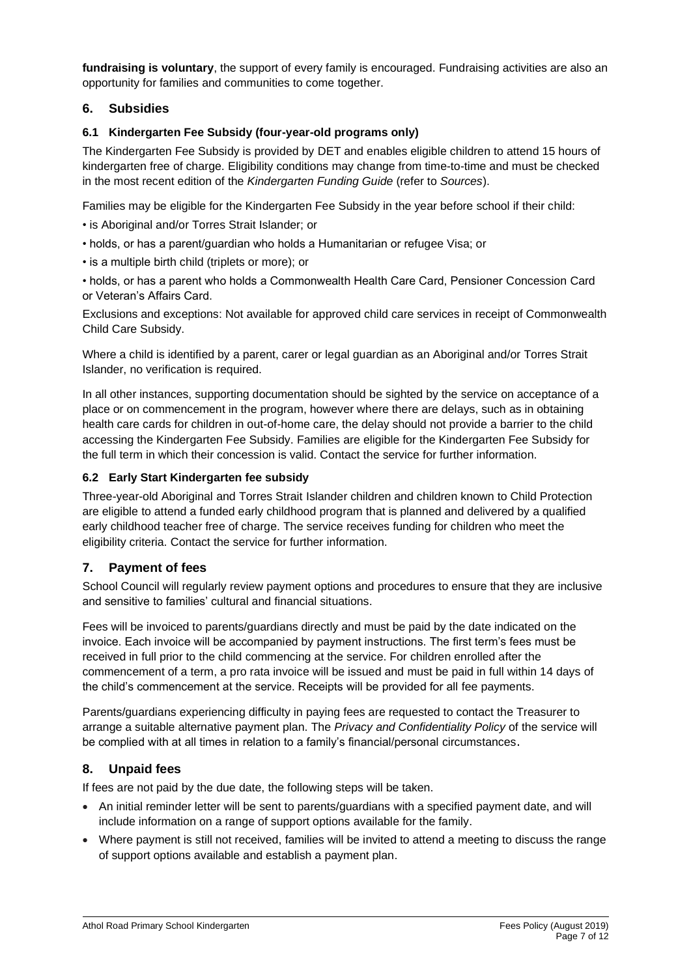**fundraising is voluntary**, the support of every family is encouraged. Fundraising activities are also an opportunity for families and communities to come together.

## **6. Subsidies**

#### **6.1 Kindergarten Fee Subsidy (four-year-old programs only)**

The Kindergarten Fee Subsidy is provided by DET and enables eligible children to attend 15 hours of kindergarten free of charge. Eligibility conditions may change from time-to-time and must be checked in the most recent edition of the *Kindergarten Funding Guide* (refer to *Sources*).

Families may be eligible for the Kindergarten Fee Subsidy in the year before school if their child:

- is Aboriginal and/or Torres Strait Islander; or
- holds, or has a parent/guardian who holds a Humanitarian or refugee Visa; or
- is a multiple birth child (triplets or more); or

• holds, or has a parent who holds a Commonwealth Health Care Card, Pensioner Concession Card or Veteran's Affairs Card.

Exclusions and exceptions: Not available for approved child care services in receipt of Commonwealth Child Care Subsidy.

Where a child is identified by a parent, carer or legal guardian as an Aboriginal and/or Torres Strait Islander, no verification is required.

In all other instances, supporting documentation should be sighted by the service on acceptance of a place or on commencement in the program, however where there are delays, such as in obtaining health care cards for children in out-of-home care, the delay should not provide a barrier to the child accessing the Kindergarten Fee Subsidy. Families are eligible for the Kindergarten Fee Subsidy for the full term in which their concession is valid. Contact the service for further information.

#### **6.2 Early Start Kindergarten fee subsidy**

Three-year-old Aboriginal and Torres Strait Islander children and children known to Child Protection are eligible to attend a funded early childhood program that is planned and delivered by a qualified early childhood teacher free of charge. The service receives funding for children who meet the eligibility criteria. Contact the service for further information.

## **7. Payment of fees**

School Council will regularly review payment options and procedures to ensure that they are inclusive and sensitive to families' cultural and financial situations.

Fees will be invoiced to parents/guardians directly and must be paid by the date indicated on the invoice. Each invoice will be accompanied by payment instructions. The first term's fees must be received in full prior to the child commencing at the service. For children enrolled after the commencement of a term, a pro rata invoice will be issued and must be paid in full within 14 days of the child's commencement at the service. Receipts will be provided for all fee payments.

Parents/guardians experiencing difficulty in paying fees are requested to contact the Treasurer to arrange a suitable alternative payment plan. The *Privacy and Confidentiality Policy* of the service will be complied with at all times in relation to a family's financial/personal circumstances.

## **8. Unpaid fees**

If fees are not paid by the due date, the following steps will be taken.

- An initial reminder letter will be sent to parents/guardians with a specified payment date, and will include information on a range of support options available for the family.
- Where payment is still not received, families will be invited to attend a meeting to discuss the range of support options available and establish a payment plan.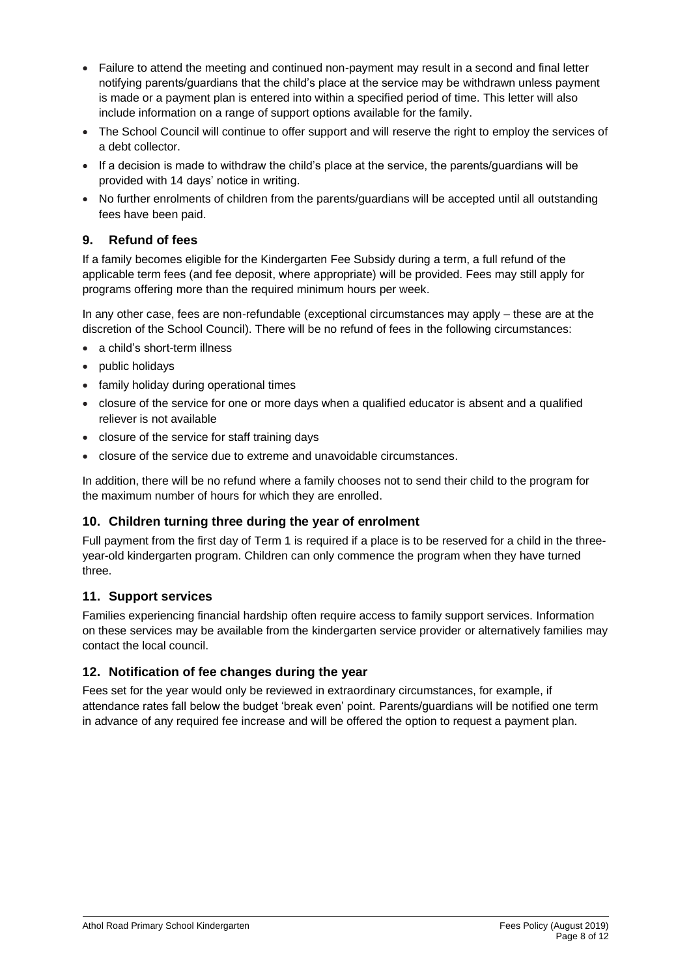- Failure to attend the meeting and continued non-payment may result in a second and final letter notifying parents/guardians that the child's place at the service may be withdrawn unless payment is made or a payment plan is entered into within a specified period of time. This letter will also include information on a range of support options available for the family.
- The School Council will continue to offer support and will reserve the right to employ the services of a debt collector.
- If a decision is made to withdraw the child's place at the service, the parents/guardians will be provided with 14 days' notice in writing.
- No further enrolments of children from the parents/guardians will be accepted until all outstanding fees have been paid.

## **9. Refund of fees**

If a family becomes eligible for the Kindergarten Fee Subsidy during a term, a full refund of the applicable term fees (and fee deposit, where appropriate) will be provided. Fees may still apply for programs offering more than the required minimum hours per week.

In any other case, fees are non-refundable (exceptional circumstances may apply – these are at the discretion of the School Council). There will be no refund of fees in the following circumstances:

- a child's short-term illness
- public holidays
- family holiday during operational times
- closure of the service for one or more days when a qualified educator is absent and a qualified reliever is not available
- closure of the service for staff training days
- closure of the service due to extreme and unavoidable circumstances.

In addition, there will be no refund where a family chooses not to send their child to the program for the maximum number of hours for which they are enrolled.

## **10. Children turning three during the year of enrolment**

Full payment from the first day of Term 1 is required if a place is to be reserved for a child in the threeyear-old kindergarten program. Children can only commence the program when they have turned three.

## **11. Support services**

Families experiencing financial hardship often require access to family support services. Information on these services may be available from the kindergarten service provider or alternatively families may contact the local council.

## **12. Notification of fee changes during the year**

Fees set for the year would only be reviewed in extraordinary circumstances, for example, if attendance rates fall below the budget 'break even' point. Parents/guardians will be notified one term in advance of any required fee increase and will be offered the option to request a payment plan.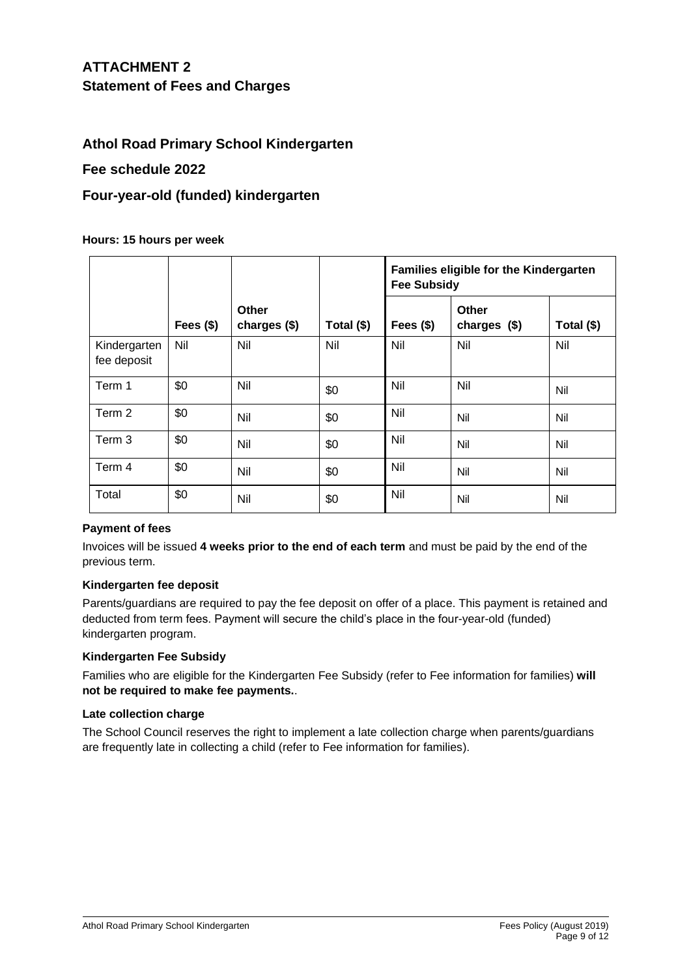# **ATTACHMENT 2 Statement of Fees and Charges**

# **Athol Road Primary School Kindergarten**

## **Fee schedule 2022**

# **Four-year-old (funded) kindergarten**

#### **Hours: 15 hours per week**

|                             |            |                       |            | Families eligible for the Kindergarten<br><b>Fee Subsidy</b> |                              |            |
|-----------------------------|------------|-----------------------|------------|--------------------------------------------------------------|------------------------------|------------|
|                             | Fees $($)$ | Other<br>charges (\$) | Total (\$) | Fees $($)$                                                   | <b>Other</b><br>charges (\$) | Total (\$) |
| Kindergarten<br>fee deposit | Nil        | Nil                   | Nil        | Nil                                                          | Nil                          | Nil        |
| Term 1                      | \$0        | Nil                   | \$0        | Nil                                                          | Nil                          | Nil        |
| Term 2                      | \$0        | Nil                   | \$0        | Nil                                                          | Nil                          | Nil        |
| Term 3                      | \$0        | Nil                   | \$0        | Nil                                                          | Nil                          | Nil        |
| Term 4                      | \$0        | Nil                   | \$0        | Nil                                                          | Nil                          | Nil        |
| Total                       | \$0        | Nil                   | \$0        | Nil                                                          | Nil                          | Nil        |

#### **Payment of fees**

Invoices will be issued **4 weeks prior to the end of each term** and must be paid by the end of the previous term.

#### **Kindergarten fee deposit**

Parents/guardians are required to pay the fee deposit on offer of a place. This payment is retained and deducted from term fees. Payment will secure the child's place in the four-year-old (funded) kindergarten program.

#### **Kindergarten Fee Subsidy**

Families who are eligible for the Kindergarten Fee Subsidy (refer to Fee information for families) **will not be required to make fee payments.**.

#### **Late collection charge**

The School Council reserves the right to implement a late collection charge when parents/guardians are frequently late in collecting a child (refer to Fee information for families).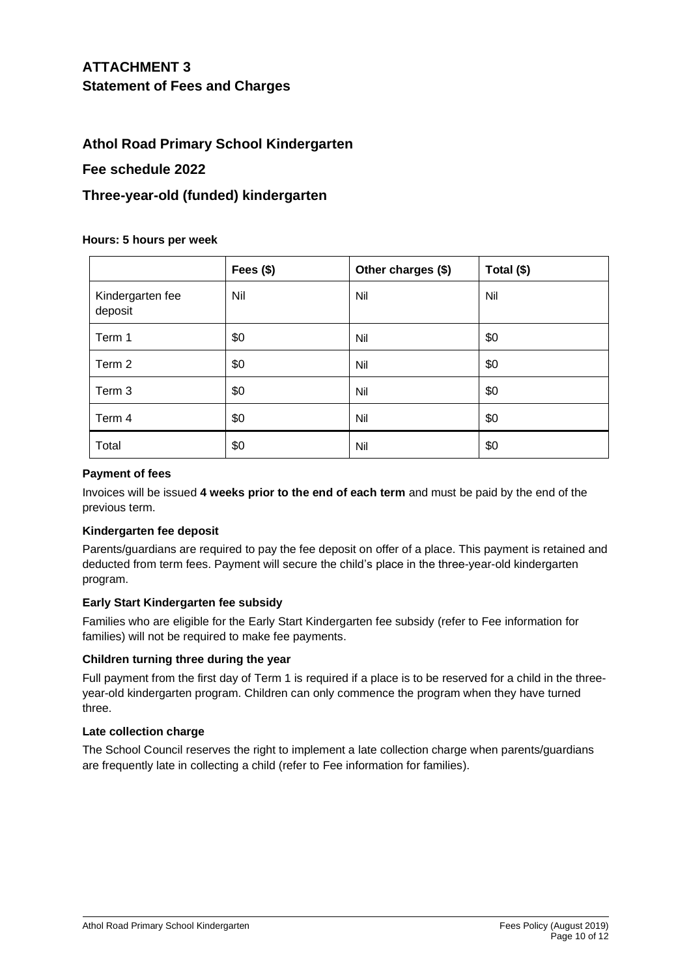# **ATTACHMENT 3 Statement of Fees and Charges**

# **Athol Road Primary School Kindergarten**

## **Fee schedule 2022**

# **Three-year-old (funded) kindergarten**

#### **Hours: 5 hours per week**

|                             | Fees $($)$ | Other charges (\$) | Total (\$) |
|-----------------------------|------------|--------------------|------------|
| Kindergarten fee<br>deposit | Nil        | Nil                | Nil        |
| Term 1                      | \$0        | Nil                | \$0        |
| Term 2                      | \$0        | Nil                | \$0        |
| Term 3                      | \$0        | Nil                | \$0        |
| Term 4                      | \$0        | Nil                | \$0        |
| Total                       | \$0        | Nil                | \$0        |

#### **Payment of fees**

Invoices will be issued **4 weeks prior to the end of each term** and must be paid by the end of the previous term.

#### **Kindergarten fee deposit**

Parents/guardians are required to pay the fee deposit on offer of a place. This payment is retained and deducted from term fees. Payment will secure the child's place in the three-year-old kindergarten program.

## **Early Start Kindergarten fee subsidy**

Families who are eligible for the Early Start Kindergarten fee subsidy (refer to Fee information for families) will not be required to make fee payments.

## **Children turning three during the year**

Full payment from the first day of Term 1 is required if a place is to be reserved for a child in the threeyear-old kindergarten program. Children can only commence the program when they have turned three.

## **Late collection charge**

The School Council reserves the right to implement a late collection charge when parents/guardians are frequently late in collecting a child (refer to Fee information for families).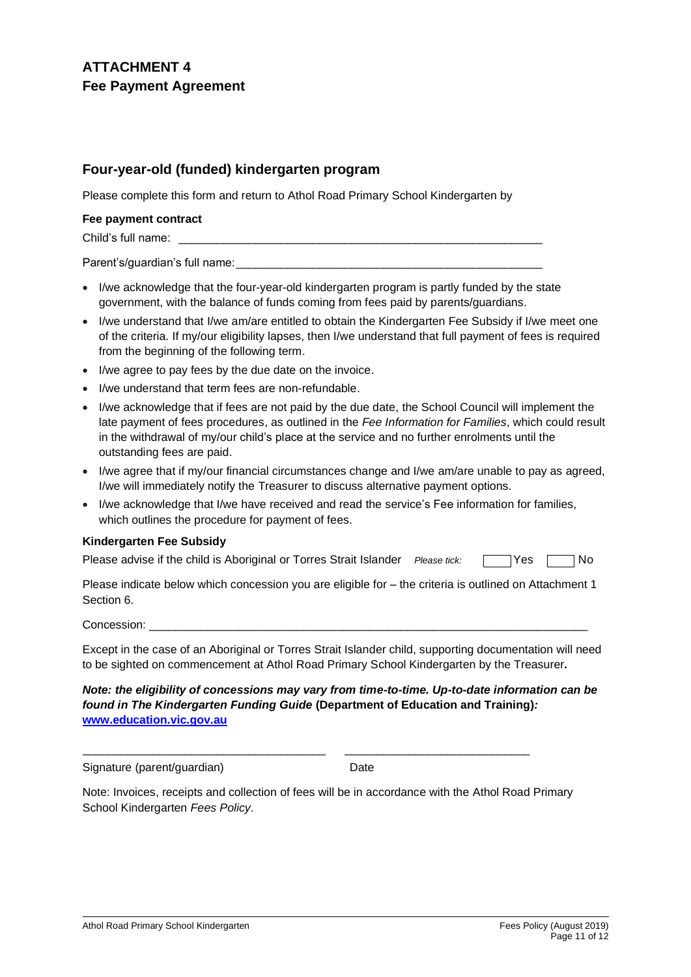# **ATTACHMENT 4 Fee Payment Agreement**

# **Four-year-old (funded) kindergarten program**

Please complete this form and return to Athol Road Primary School Kindergarten by

#### **Fee payment contract**

Child's full name:

Parent's/guardian's full name:

- I/we acknowledge that the four-year-old kindergarten program is partly funded by the state government, with the balance of funds coming from fees paid by parents/guardians.
- I/we understand that I/we am/are entitled to obtain the Kindergarten Fee Subsidy if I/we meet one of the criteria. If my/our eligibility lapses, then I/we understand that full payment of fees is required from the beginning of the following term.
- I/we agree to pay fees by the due date on the invoice.
- I/we understand that term fees are non-refundable.
- I/we acknowledge that if fees are not paid by the due date, the School Council will implement the late payment of fees procedures, as outlined in the *Fee Information for Families*, which could result in the withdrawal of my/our child's place at the service and no further enrolments until the outstanding fees are paid.
- I/we agree that if my/our financial circumstances change and I/we am/are unable to pay as agreed, I/we will immediately notify the Treasurer to discuss alternative payment options.
- I/we acknowledge that I/we have received and read the service's Fee information for families, which outlines the procedure for payment of fees.

#### **Kindergarten Fee Subsidy**

| Please advise if the child is Aboriginal or Torres Strait Islander Please tick: |  | No Ves No |  |
|---------------------------------------------------------------------------------|--|-----------|--|
|---------------------------------------------------------------------------------|--|-----------|--|

Please indicate below which concession you are eligible for – the criteria is outlined on Attachment 1 Section 6.

Concession:

Except in the case of an Aboriginal or Torres Strait Islander child, supporting documentation will need to be sighted on commencement at Athol Road Primary School Kindergarten by the Treasurer**.**

*Note: the eligibility of concessions may vary from time-to-time. Up-to-date information can be found in The Kindergarten Funding Guide* **(Department of Education and Training)***:* **[www.education.vic.gov.au](http://www.education.vic.gov.au/)**

Signature (parent/guardian) Date

Note: Invoices, receipts and collection of fees will be in accordance with the Athol Road Primary School Kindergarten *Fees Policy*.

\_\_\_\_\_\_\_\_\_\_\_\_\_\_\_\_\_\_\_\_\_\_\_\_\_\_\_\_\_\_\_\_\_\_\_\_\_\_ \_\_\_\_\_\_\_\_\_\_\_\_\_\_\_\_\_\_\_\_\_\_\_\_\_\_\_\_\_